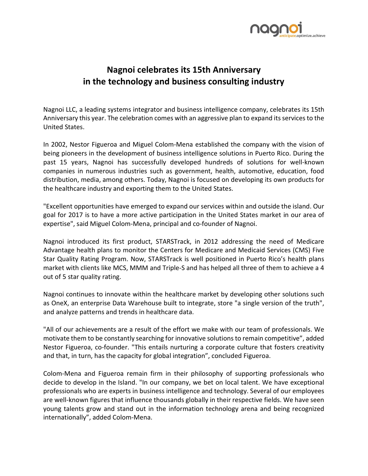

## Nagnoi celebrates its 15th Anniversary in the technology and business consulting industry

Nagnoi LLC, a leading systems integrator and business intelligence company, celebrates its 15th Anniversary this year. The celebration comes with an aggressive plan to expand its services to the United States.

In 2002, Nestor Figueroa and Miguel Colom-Mena established the company with the vision of being pioneers in the development of business intelligence solutions in Puerto Rico. During the past 15 years, Nagnoi has successfully developed hundreds of solutions for well-known companies in numerous industries such as government, health, automotive, education, food distribution, media, among others. Today, Nagnoi is focused on developing its own products for the healthcare industry and exporting them to the United States.

"Excellent opportunities have emerged to expand our services within and outside the island. Our goal for 2017 is to have a more active participation in the United States market in our area of expertise", said Miguel Colom-Mena, principal and co-founder of Nagnoi.

Nagnoi introduced its first product, STARSTrack, in 2012 addressing the need of Medicare Advantage health plans to monitor the Centers for Medicare and Medicaid Services (CMS) Five Star Quality Rating Program. Now, STARSTrack is well positioned in Puerto Rico's health plans market with clients like MCS, MMM and Triple-S and has helped all three of them to achieve a 4 out of 5 star quality rating.

Nagnoi continues to innovate within the healthcare market by developing other solutions such as OneX, an enterprise Data Warehouse built to integrate, store "a single version of the truth", and analyze patterns and trends in healthcare data.

"All of our achievements are a result of the effort we make with our team of professionals. We motivate them to be constantly searching for innovative solutions to remain competitive", added Nestor Figueroa, co-founder. "This entails nurturing a corporate culture that fosters creativity and that, in turn, has the capacity for global integration", concluded Figueroa.

Colom-Mena and Figueroa remain firm in their philosophy of supporting professionals who decide to develop in the Island. "In our company, we bet on local talent. We have exceptional professionals who are experts in business intelligence and technology. Several of our employees are well-known figures that influence thousands globally in their respective fields. We have seen young talents grow and stand out in the information technology arena and being recognized internationally", added Colom-Mena.